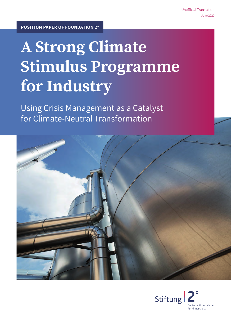# **A Strong Climate Stimulus Programme for Industry**

Using Crisis Management as a Catalyst for Climate-Neutral Transformation



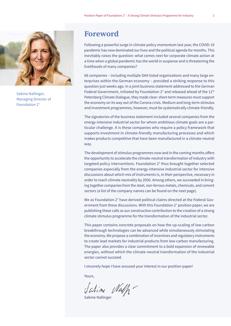

Sabine Nallinger, Managing Director of Foundation 2°

## **Foreword**

Following a powerful surge in climate policy momentum last year, the COVID-19 pandemic has now dominated our lives and the political agenda for months. This inevitably raises the question: what comes next for corporate climate action at a time when a global pandemic has the world in suspense and is threatening the livelihoods of many companies?

68 companies – including multiple DAX-listed organisations and many large enterprises within the German economy – provided a striking response to this question just weeks ago. In a joint business statement addressed to the German Federal Government, initiated by Foundation 2° and released ahead of the 11<sup>th</sup> Petersberg Climate Dialogue, they made clear: short-term measures must support the economy on its way out of the Corona crisis. Medium and long-term stimulus and investment programmes, however, must be systematically climate-friendly.

The signatories of the business statement included several companies from the energy-intensive industrial sector for whom ambitious climate goals are a particular challenge. It is these companies who require a policy framework that supports investment in climate-friendly manufacturing processes and which makes products competitive that have been manufactured in a climate-neutral way.

The development of stimulus programmes now and in the coming months offers the opportunity to accelerate the climate-neutral transformation of industry with targeted policy interventions. Foundation 2° thus brought together selected companies especially from the energy-intensive industrial sector for intensive discussions about which mix of instruments is, in their perspective, necessary in order to reach climate neutrality by 2050. Among others, we succeeded in bringing together companies from the steel, non-ferrous metals, chemicals, and cement sectors (a list of the company names can be found on the next page).

We as Foundation 2° have derived political claims directed at the Federal Government from these discussions. With this Foundation 2° position paper, we are publishing these calls as our constructive contribution to the creation of a strong climate stimulus programme for the transformation of the industrial sector.

This paper contains concrete proposals on how the up-scaling of low carbon breakthrough technologies can be advanced while simultaneously stimulating the economy. We propose a combination of incentives and regulatory instruments to create lead markets for industrial products from low-carbon manufacturing. The paper also provides a clear commitment to a bold expansion of renewable energies, without which the climate-neutral transformation of the industrial sector cannot succeed.

I sincerely hope I have aroused your interest in our position paper!

Yours,

Salime Nalh-

Sabine Nallinger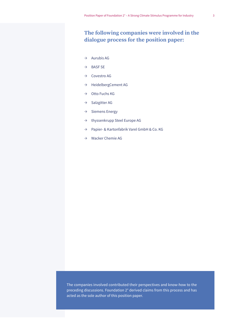### **The following companies were involved in the dialogue process for the position paper:**

- $\rightarrow$  Aurubis AG
- $\rightarrow$  BASF SE
- $\rightarrow$  Covestro AG
- → HeidelbergCement AG
- $\rightarrow$  Otto Fuchs KG
- $\rightarrow$  Salzgitter AG
- $\rightarrow$  Siemens Energy
- $\rightarrow$  thyssenkrupp Steel Europe AG
- Ʌ Papier- & Kartonfabrik Varel GmbH & Co. KG
- $\rightarrow$  Wacker Chemie AG

The companies involved contributed their perspectives and know-how to the preceding discussions. Foundation 2° derived claims from this process and has acted as the sole author of this position paper.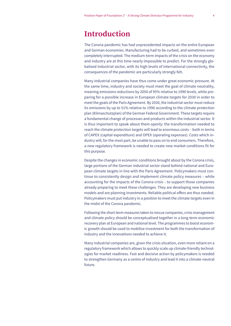# **Introduction**

The Corona pandemic has had unprecedented impacts on the entire European and German economies. Manufacturing had to be curbed, and sometimes even completely interrupted. The medium-term impacts of the crisis on the economy and industry are at this time nearly impossible to predict. For the strongly globalised industrial sector, with its high levels of international connectivity, the consequences of the pandemic are particularly strongly felt.

Many industrial companies have thus come under great economic pressure. At the same time, industry and society must meet the goal of climate neutrality, meaning emissions reductions by 2050 of 95% relative to 1990 levels, while preparing for a possible increase in European climate targets for 2030 in order to meet the goals of the Paris Agreement. By 2030, the industrial sector must reduce its emissions by up to 51% relative to 1990 according to the climate protection plan (Klimaschutzplan) of the German Federal Government. These targets require a fundamental change of processes and products within the industrial sector. It is thus important to speak about them openly: the transformation needed to reach the climate protection targets will lead to enormous costs – both in terms of CAPEX (capital expenditure) and OPEX (operating expenses). Costs which industry will, for the most part, be unable to pass on to end consumers. Therefore, a new regulatory framework is needed to create new market conditions fit for this purpose.

Despite the changes in economic conditions brought about by the Corona crisis, large portions of the German industrial sector stand behind national and European climate targets in line with the Paris Agreement. Policymakers must continue to consistently design and implement climate policy measures – while accounting for the impacts of the Corona crisis – to support those companies already preparing to meet these challenges. They are developing new business models and are planning investments. Reliable political offers are thus needed. Policymakers must put industry in a position to meet the climate targets even in the midst of the Corona pandemic.

Following the short-term measures taken to rescue companies, crisis management and climate policy should be conceptualised together in a long-term economic recovery plan at European and national level. The programmes to boost economic growth should be used to mobilise investment for both the transformation of industry and the innovations needed to achieve it.

Many industrial companies are, given the crisis situation, even more reliant on a regulatory framework which allows to quickly scale up climate-friendly technologies for market readiness. Fast and decisive action by policymakers is needed to strengthen Germany as a centre of industry and lead it into a climate-neutral future.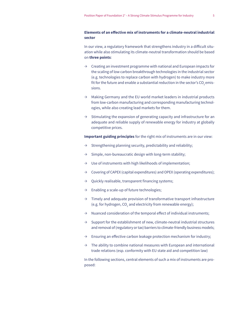#### **Elements of an effective mix of instruments for a climate-neutral industrial sector**

In our view, a regulatory framework that strengthens industry in a difficult situation while also stimulating its climate-neutral transformation should be based on **three points**:

- $\rightarrow$  Creating an investment programme with national and European impacts for the scaling of low carbon breakthrough technologies in the industrial sector (e.g. technologies to replace carbon with hydrogen) to make industry more fit for the future and enable a substantial reduction in the sector's CO<sub>2</sub> emissions.
- $\rightarrow$  Making Germany and the EU world market leaders in industrial products from low-carbon manufacturing and corresponding manufacturing technologies, while also creating lead markets for them.
- $\rightarrow$  Stimulating the expansion of generating capacity and infrastructure for an adequate and reliable supply of renewable energy for industry at globally competitive prices.

**Important guiding principles** for the right mix of instruments are in our view:

- $\rightarrow$  Strengthening planning security, predictability and reliability;
- $\rightarrow$  Simple, non-bureaucratic design with long-term stability;
- $\rightarrow$  Use of instruments with high likelihoods of implementation;
- $\rightarrow$  Covering of CAPEX (capital expenditures) and OPEX (operating expenditures);
- $\rightarrow$  Quickly realisable, transparent financing systems;
- $\rightarrow$  Enabling a scale-up of future technologies;
- $\rightarrow$  Timely and adequate provision of transformative transport infrastructure (e.g. for hydrogen, CO $_{\textrm{\tiny{2}}}$  and electricity from renewable energy);
- $\rightarrow$  Nuanced consideration of the temporal effect of individual instruments;
- $\rightarrow$  Support for the establishment of new, climate-neutral industrial structures and removal of (regulatory or tax) barriers to climate-friendly business models;
- $\rightarrow$  Ensuring an effective carbon leakage protection mechanism for industry;
- $\rightarrow$  The ability to combine national measures with European and international trade relations (esp. conformity with EU state aid and competition law)

In the following sections, central elements of such a mix of instruments are proposed: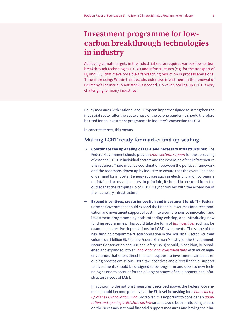# **Investment programme for lowcarbon breakthrough technologies in industry**

Achieving climate targets in the industrial sector requires various low carbon breakthrough technologies (LCBT) and infrastructures (e.g. for the transport of  $H_2$  und CO<sub>2</sub>) that make possible a far-reaching reduction in process emissions. Time is pressing: Within this decade, extensive investment in the renewal of Germany's industrial plant stock is needed. However, scaling up LCBT is very challenging for many industries.

Policy measures with national and European impact designed to strengthen the industrial sector after the acute phase of the corona pandemic should therefore be used for an investment programme in industry's conversion to LCBT.

In concrete terms, this means:

#### **Making LCBT ready for market and up-scaling**

- Ʌ **Coordinate the up-scaling of LCBT and necessary infrastructures:** The Federal Government should provide *cross-sectoral support* for the up-scaling of essential LCBT in individual sectors and the expansion of the infrastructure this requires. There must be coordination between the political framework and the roadmaps drawn up by industry to ensure that the overall balance of demand for important energy sources such as electricity and hydrogen is maintained across all sectors. In principle, it should be ensured from the outset that the ramping up of LCBT is synchronised with the expansion of the necessary infrastructure.
- Ʌ **Expand incentives, create innovation and investment fund:** The Federal German Government should expand the financial resources for direct innovation and investment support of LCBT into a comprehensive innovation and investment programme by both extending existing, and introducing new funding programmes. This could take the form of *tax incentives* such as, for example, degressive depreciations for LCBT investments. The scope of the new funding programme "Decarbonisation in the Industrial Sector" (current volume ca. 1 billion EUR) of the Federal German Ministry for the Environment, Nature Conservation and Nuclear Safety (BMU) should, in addition, be broadened and expanded into an *innovation and investment fund* with much higher volumes that offers direct financial support to investments aimed at reducing process emissions. Both tax incentives and direct financial support to investments should be designed to be long-term and open to new technologies and to account for the divergent stages of development and infrastructure needs of LCBT.

In addition to the national measures described above, the Federal Government should become proactive at the EU level in pushing for a financial top *up of the EU Innovation Fund.* Moreover, it is important to consider an *adaptation and opening of EU state aid law* so as to avoid both limits being placed on the necessary national financial support measures and having their im-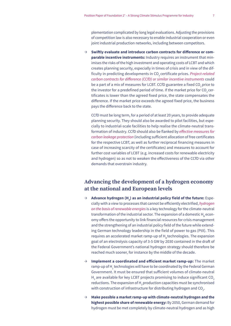plementation complicated by long legal evaluations. Adjusting the provisions of competition law is also necessary to enable industrial cooperation or even joint industrial production networks, including between competitors.

Ʌ **Swiftly evaluate and introduce carbon contracts for difference or comparable incentive instruments:** Industry requires an instrument that minimises the risks of the high investment and operating costs of LCBT and which creates planning security, especially in times of crisis and in view of the difficulty in predicting developments in CO<sub>2</sub> certificate prices. *Project-related* carbon contracts for difference (CCfD) or similar incentive instruments could be a part of a mix of measures for LCBT. CCfD guarantee a fixed CO<sub>2</sub> price to the investor for a predefined period of time. If the market price for  $CO<sub>2</sub>$  certificates is lower than the agreed fixed price, the state compensates the difference. If the market price exceeds the agreed fixed price, the business pays the difference back to the state.

CCfD must be long term, for a period of at least 20 years, to provide adequate planning security. They should also be awarded to pilot facilities, but especially to industrial-scale facilities to help realise the climate-neutral transformation of industry. CCfD should also be flanked by effective measures for *carbon leakage protection* (including sufficient allocation of free certificates for the respective LCBT, as well as further reciprocal financing measures in case of increasing scarcity of the certificates) and measures to account for further cost variables of LCBT (e.g. increased costs for renewable electricity and hydrogen) so as not to weaken the effectiveness of the CCfD via other demands that overstrain industry.

### **Advancing the development of a hydrogen economy at the national and European levels**

- $\rightarrow$  **Advance hydrogen (H<sub>2</sub>) as an industrial policy field of the future:** Especially with a view to processes that cannot be efficiently electrified, *hydrogen on the basis of renewable energies* is a key technology for the climate-neutral transformation of the industrial sector. The expansion of a domestic H<sub>2</sub> economy offers the opportunity to link financial resources for crisis management and the strengthening of an industrial policy field of the future while extending German technology leadership in the field of power to gas (PtX). This requires an accelerated market ramp-up of H<sub>2</sub> technologies. The expansion goal of an electrolysis capacity of 3-5 GW by 2030 contained in the draft of the Federal Government's national hydrogen strategy should therefore be reached much sooner, for instance by the middle of the decade.
- Ʌ **Implement a coordinated and efficient market ramp-up:** The market ramp-up of H $_{\rm 2}$  technologies will have to be coordinated by the Federal German Government. It must be ensured that sufficient volumes of climate-neutral  $\mathsf{H}_{_2}$  are available for key LCBT projects promising to induce significant CO $_2$ reductions. The expansion of H<sub>2</sub> production capacities must be synchronised with construction of infrastructure for distributing hydrogen and CO<sub>2</sub>.
- Ʌ **Make possible a market ramp-up with climate-neutral hydrogen and the highest possible share of renewable energy:** By 2050, German demand for hydrogen must be met completely by climate-neutral hydrogen and as high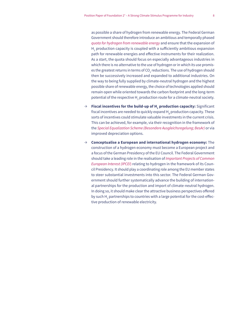as possible a share of hydrogen from renewable energy. The Federal German Government should therefore introduce an ambitious and temporally phased *quota for hydrogen from renewable energy* and ensure that the expansion of  $H_2$  production capacity is coupled with a sufficiently ambitious expansion path for renewable energies and effective instruments for their realization. As a start, the quota should focus on especially advantageous industries in which there is no alternative to the use of hydrogen or in which its use promises the greatest returns in terms of CO $_{\textrm{\tiny{2}}}$  reductions. The use of hydrogen should then be successively increased and expanded to additional industries. On the way to being fully supplied by climate-neutral hydrogen and the highest possible share of renewable energy, the choice of technologies applied should remain open while oriented towards the carbon footprint and the long-term potential of the respective H $_{\rm 2}$  production route for a climate-neutral society.

- → Fiscal incentives for the build-up of **H<sub>2</sub>** production capacity: Significant fiscal incentives are needed to quickly expand H<sub>2</sub> production capacity. These sorts of incentives could stimulate valuable investments in the current crisis. This can be achieved, for example, via their recognition in the framework of the Special Equalization Scheme (Besondere Ausgleichsregelung; BesAr) or via improved depreciation options.
- Ʌ **Conceptualise a European and international hydrogen economy:** The construction of a hydrogen economy must become a European project and a focus of the German Presidency of the EU Council. The Federal Government should take a leading role in the realisation of Important Projects of Common European Interest (IPCEI) relating to hydrogen in the framework of its Council Presidency. It should play a coordinating role among the EU member states to steer substantial investments into this sector. The Federal German Government should further systematically advance the building of international partnerships for the production and import of climate-neutral hydrogen. In doing so, it should make clear the attractive business perspectives offered by such H $_{_2}$ partnerships to countries with a large potential for the cost-effective production of renewable electricity.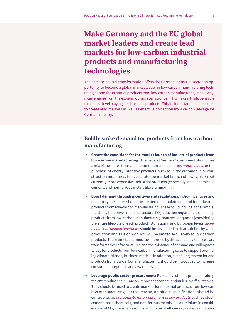# **Make Germany and the EU global market leaders and create lead markets for low-carbon industrial products and manufacturing technologies**

The climate-neutral transformation offers the German industrial sector an opportunity to become a global market leader in low-carbon manufacturing technologies and the export of products from low-carbon manufacturing. In this way, it can emerge from the economic crisis even stronger. This makes it indispensable to create a level playing field for such products. This includes targeted measures to create lead markets as well as effective protection from carbon leakage for German industry.

### **Boldly stoke demand for products from low-carbon manufacturing**

- Ʌ **Create the conditions for the market launch of industrial products from low-carbon manufacturing:** The Federal German Government should use a mix of measures to create the conditions needed in *key value chains* for the purchase of energy-intensive products, such as in the automobile or construction industries, to accelerate the market launch of low- carbonbut currently more expensive industrial products (especially steel, chemicals, cement, and non-ferrous metals like aluminium).
- Ʌ **Boost demand through incentives and regulations:** Policy incentives and regulatory measures should be created to stimulate demand for industrial products from low-carbon manufacturing. These could include, for example, the ability to receive credits for sectoral CO<sub>2</sub> reduction requirements for using products from low-carbon manufacturing, bonuses, or quotas (considering the entire lifecycle of each product). At national and European levels, *incremental and binding timetables* should be developed to clearly define by when production and sale of products will be limited exclusively to low carbon products. These timetables must be informed by the availability of necessary transformative infrastructures and the existence of demand and willingness to pay for products from low-carbon manufacturing so as to support promising climate-friendly business models. In addition, a labelling system for end products from low-carbon manufacturing should be introduced to increase consumer acceptance and awareness.
- Ʌ **Leverage public-sector procurement:** Public investment projects along the entire value chain – are an important economic stimulus in difficult times. They should be used to create markets for industrial products from low-carbon manufacturing. For this reason, ambitious specifications should be considered as *prerequisite for procurement of key products* such as steel, cement, base chemicals, and non-ferrous metals like aluminium in consideration of  $CO<sub>2</sub>$  intensity, resource and material efficiency, as well as circular-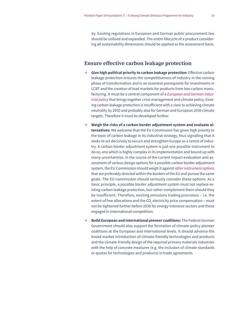ity. Existing regulations in European and German public procurement law should be utilised and expanded. The entire lifecycle of a product considering all sustainability dimensions should be applied as the assessment basis.

#### **Ensure effective carbon leakage protection**

- Ʌ **Give high political priority to carbon leakage protection:** Effective carbon leakage protection ensures the competitiveness of industry in the coming phase of transformation and is an essential prerequisite for investments in LCBT and the creation of lead markets for products from low-carbon manufacturing. It must be a central component of a *European and German industrial policy* that brings together crisis management and climate policy. Existing carbon leakage protection is insufficient with a view to achieving climate neutrality by 2050 and probably also for German and European 2030 climate targets. Therefore it must be developed further.
- $\rightarrow$  Weigh the risks of a carbon border adjustment system and evaluate al**ternatives:** We welcome that the EU Commission has given high priority to the topic of carbon leakage in its industrial strategy, thus signalling that it seeks to act decisively to secure and strengthen Europe as a centre of industry. A carbon border adjustment system is just one possible instrument to do so, one which is highly complex in its implementation and bound up with many uncertainties. In the course of the current impact evaluation and assessment of various design options for a possible carbon border adjustment system, the EU Commission should weigh it against *other instrument options* that are preferably directed within the borders of the EU and pursue the same goals. The EU commission should seriously consider these options. As a basic principle, a possible border adjustment system must not replace existing carbon leakage protection, but rather complement them should they be insufficient. Therefore, existing emissions trading provisions – i.e. the extent of free allocations and the CO<sub>2</sub> electricity price compensation – must not be tightened further before 2030 for energy-intensive sectors and those engaged in international competition.
- $\rightarrow$  **Build European and international pioneer coalitions:** The Federal German Government should also support the formation of climate-policy pioneer coalitions at the European and international levels. It should advance the broad market introduction of climate-friendly technologies and products and the climate-friendly design of the required primary materials industries with the help of concrete measures (e.g. the inclusion of climate standards or quotas for technologies and products) in trade agreements.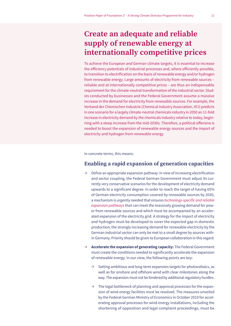# **Create an adequate and reliable supply of renewable energy at internationally competitive prices**

To achieve the European and German climate targets, it is essential to increase the efficiency potentials of industrial processes and, where efficiently possible, to transition to electrification on the basis of renewable energy and/or hydrogen from renewable energy. Large amounts of electricity from renewable sources – reliable and at internationally competitive prices – are thus an indispensable requirement for the climate-neutral transformation of the industrial sector. Studies conducted by businesses and the Federal Government assume a massive increase in the demand for electricity from renewable sources. For example, the Verband der Chemischen Industrie (Chemical Industry Association, VCI) predicts in one scenario for a largely climate-neutral chemicals industry in 2050 an 11-fold increase in electricity demand by the chemicals industry relative to today, beginning with a steep increase from the mid-2030s. Therefore, a political offensive is needed to boost the expansion of renewable energy sources and the import of electricity and hydrogen from renewable energy.

In concrete terms, this means:

### **Enabling a rapid expansion of generation capacities**

- $\rightarrow$  Define an appropriate expansion pathway: In view of increasing electrification and sector coupling, the Federal German Government must adjust its currently very conservative scenarios for the development of electricity demand upwards to a significant degree. In order to reach the target of having 65% of German electricity consumption covered by renewable sources by 2030, a mechanism is urgently needed that ensures technology-specific and reliable *expansion pathways* that can meet the massively growing demand for power from renewable sources and which must be accompanied by an accelerated expansion of the electricity grid. A strategy for the import of electricity and hydrogen must be developed to cover the expected gap in domestic production; the strongly increasing demand for renewable electricity by the German industrial sector can only be met to a small degree by sources within Germany. Priority should be given to European collaboration in this regard.
- $\rightarrow$  **Accelerate the expansion of generating capacity:** The Federal Government must create the conditions needed to significantly accelerate the expansion of renewable energy. In our view, the following points are key:
	- $\rightarrow$  Setting ambitious and long-term expansion targets for photovoltaics, as well as for onshore and offshore wind with clear milestones along the way. The expansion must not be hindered by additional regulatory hurdles.
	- $\rightarrow$  The legal bottleneck of planning and approval processes for the expansion of wind energy facilities must be resolved. The measures unveiled by the Federal German Ministry of Economics in October 2019 for accelerating approval processes for wind energy installations, including the shortening of opposition and legal complaint proceedings, must be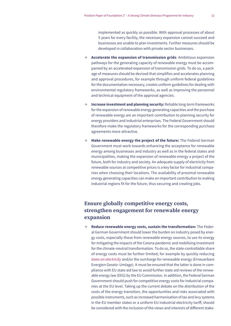implemented as quickly as possible. With approval processes of about 5 years for every facility, the necessary expansion cannot succeed and businesses are unable to plan investments. Further measures should be developed in collaboration with private sector businesses.

- Ʌ **Accelerate the expansion of transmission grids**: Ambitious expansion pathways for the generating capacity of renewable energy must be accompanied by an accelerated expansion of transmission grids. To do so, a package of measures should be devised that simplifies and accelerates planning and approval procedures, for example through uniform federal guidelines for the documentation necessary, creates uniform guidelines for dealing with environmental regulatory frameworks, as well as improving the personnel and technical equipment of the approval agencies.
- Ʌ **Increase investment and planning security:** Reliable long-term frameworks for the expansion of renewable energy generating capacities and the purchase of renewable energy are an important contribution to planning security for energy providers and industrial enterprises. The Federal Government should therefore make the regulatory frameworks for the corresponding purchase agreements more attractive.
- Ʌ **Make renewable energy the project of the future:** The Federal German Government must work towards enhancing the acceptance for renewable energy among businesses and industry as well as in the federal states and municipalities, making the expansion of renewable energy a project of the future, both for industry and society. An adequate supply of electricity from renewable sources at competitive prices is a key factor for industrial companies when choosing their locations. The availability of proximal renewable energy generating capacities can make an important contribution to making industrial regions fit for the future, thus securing and creating jobs.

### **Ensure globally competitive energy costs, strengthen engagement for renewable energy expansion**

Ʌ **Reduce renewable energy costs, sustain the transformation:** The Federal German Government should lower the burden on industry posed by energy costs, especially those from renewable energy sources, to use its energy for mitigating the impacts of the Corona pandemic and mobilising investment for the climate-neutral transformation. To do so, the state-controllable share of energy costs must be further limited, for example by quickly reducing *taxes on electricity* and/or the surcharge for renewable energy (Erneuerbare Energien Gesetz–Umlage). It must be ensured that the latter is done in compliance with EU state aid law to avoid further state aid reviews of the renewable energy law (EEG) by the EU Commission. In addition, the Federal German Government should push for competitive energy costs for industrial companies at the EU level. Taking up the current debate on the distribution of the costs of the energy transition, the opportunities and risks associated with possible instruments, such as increased harmonisation of tax and levy systems in the EU member states or a uniform EU industrial electricity tariff, should be considered with the inclusion of the views and interests of different stake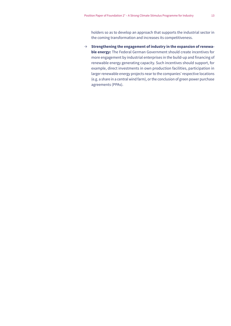holders so as to develop an approach that supports the industrial sector in the coming transformation and increases its competitiveness.

 $\rightarrow$  Strengthening the engagement of industry in the expansion of renewa**ble energy:** The Federal German Government should create incentives for more engagement by industrial enterprises in the build-up and financing of renewable energy generating capacity. Such incentives should support, for example, direct investments in own production facilities, participation in larger renewable energy projects near to the companies' respective locations (e.g. a share in a central wind farm), or the conclusion of green power purchase agreements (PPAs).